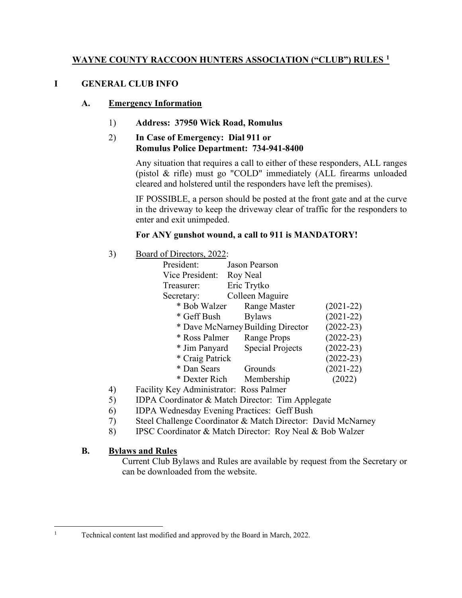### WAYNE COUNTY RACCOON HUNTERS ASSOCIATION ("CLUB") RULES <sup>1</sup>

### I GENERAL CLUB INFO

#### A. Emergency Information

1) Address: 37950 Wick Road, Romulus

### 2) In Case of Emergency: Dial 911 or Romulus Police Department: 734-941-8400

Any situation that requires a call to either of these responders, ALL ranges (pistol & rifle) must go "COLD" immediately (ALL firearms unloaded cleared and holstered until the responders have left the premises).

IF POSSIBLE, a person should be posted at the front gate and at the curve in the driveway to keep the driveway clear of traffic for the responders to enter and exit unimpeded.

### For ANY gunshot wound, a call to 911 is MANDATORY!

3) Board of Directors, 2022:

| President:      | Jason Pearson                     |               |
|-----------------|-----------------------------------|---------------|
| Vice President: | Roy Neal                          |               |
| Treasurer:      | Eric Trytko                       |               |
| Secretary:      | Colleen Maguire                   |               |
| * Bob Walzer    | <b>Range Master</b>               | $(2021-22)$   |
| * Geff Bush     | <b>Bylaws</b>                     | $(2021-22)$   |
|                 | * Dave McNarney Building Director | $(2022-23)$   |
| * Ross Palmer   | <b>Range Props</b>                | $(2022-23)$   |
| * Jim Panyard   | Special Projects                  | $(2022-23)$   |
| * Craig Patrick |                                   | $(2022 - 23)$ |
| * Dan Sears     | Grounds                           | $(2021-22)$   |
| * Dexter Rich   | Membership                        | 2022)         |

- 4) Facility Key Administrator: Ross Palmer
- 5) IDPA Coordinator & Match Director: Tim Applegate
- 6) IDPA Wednesday Evening Practices: Geff Bush
- 7) Steel Challenge Coordinator & Match Director: David McNarney
- 8) IPSC Coordinator & Match Director: Roy Neal & Bob Walzer

#### B. Bylaws and Rules

Current Club Bylaws and Rules are available by request from the Secretary or can be downloaded from the website.

Technical content last modified and approved by the Board in March, 2022.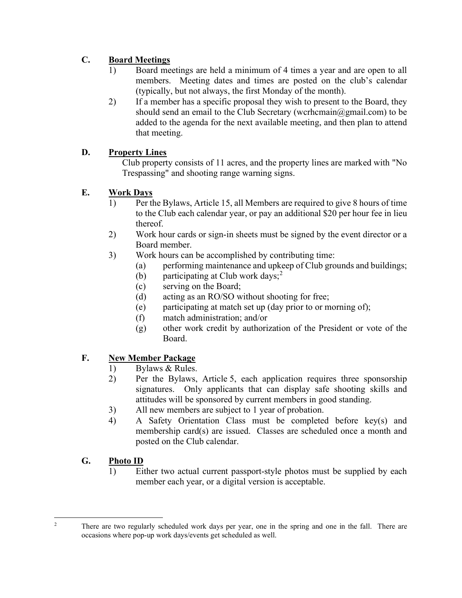# C. Board Meetings

- 1) Board meetings are held a minimum of 4 times a year and are open to all members. Meeting dates and times are posted on the club's calendar (typically, but not always, the first Monday of the month).
- 2) If a member has a specific proposal they wish to present to the Board, they should send an email to the Club Secretary (wcrhcmain@gmail.com) to be added to the agenda for the next available meeting, and then plan to attend that meeting.

# D. Property Lines

Club property consists of 11 acres, and the property lines are marked with "No Trespassing" and shooting range warning signs.

# E. Work Days

- 1) Per the Bylaws, Article 15, all Members are required to give 8 hours of time to the Club each calendar year, or pay an additional \$20 per hour fee in lieu thereof.
- 2) Work hour cards or sign-in sheets must be signed by the event director or a Board member.
- 3) Work hours can be accomplished by contributing time:
	- (a) performing maintenance and upkeep of Club grounds and buildings;
	- (b) participating at Club work days;<sup>2</sup>
	- (c) serving on the Board;
	- (d) acting as an RO/SO without shooting for free;
	- (e) participating at match set up (day prior to or morning of);
	- (f) match administration; and/or
	- (g) other work credit by authorization of the President or vote of the Board.

## F. New Member Package

- 1) Bylaws & Rules.
- 2) Per the Bylaws, Article 5, each application requires three sponsorship signatures. Only applicants that can display safe shooting skills and attitudes will be sponsored by current members in good standing.
- 3) All new members are subject to 1 year of probation.
- 4) A Safety Orientation Class must be completed before key(s) and membership card(s) are issued. Classes are scheduled once a month and posted on the Club calendar.

## G. Photo ID

1) Either two actual current passport-style photos must be supplied by each member each year, or a digital version is acceptable.

<sup>2</sup>

There are two regularly scheduled work days per year, one in the spring and one in the fall. There are occasions where pop-up work days/events get scheduled as well.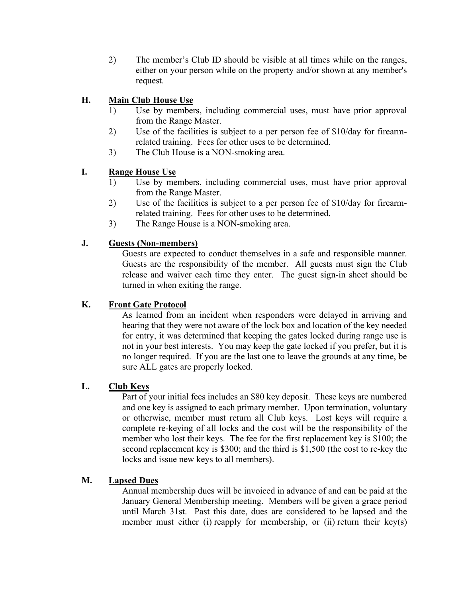2) The member's Club ID should be visible at all times while on the ranges, either on your person while on the property and/or shown at any member's request.

### H. Main Club House Use

- 1) Use by members, including commercial uses, must have prior approval from the Range Master.
- 2) Use of the facilities is subject to a per person fee of \$10/day for firearmrelated training. Fees for other uses to be determined.
- 3) The Club House is a NON-smoking area.

#### I. Range House Use

- 1) Use by members, including commercial uses, must have prior approval from the Range Master.
- 2) Use of the facilities is subject to a per person fee of \$10/day for firearmrelated training. Fees for other uses to be determined.
- 3) The Range House is a NON-smoking area.

#### J. Guests (Non-members)

Guests are expected to conduct themselves in a safe and responsible manner. Guests are the responsibility of the member. All guests must sign the Club release and waiver each time they enter. The guest sign-in sheet should be turned in when exiting the range.

#### K. Front Gate Protocol

As learned from an incident when responders were delayed in arriving and hearing that they were not aware of the lock box and location of the key needed for entry, it was determined that keeping the gates locked during range use is not in your best interests. You may keep the gate locked if you prefer, but it is no longer required. If you are the last one to leave the grounds at any time, be sure ALL gates are properly locked.

#### L. Club Keys

Part of your initial fees includes an \$80 key deposit. These keys are numbered and one key is assigned to each primary member. Upon termination, voluntary or otherwise, member must return all Club keys. Lost keys will require a complete re-keying of all locks and the cost will be the responsibility of the member who lost their keys. The fee for the first replacement key is \$100; the second replacement key is \$300; and the third is \$1,500 (the cost to re-key the locks and issue new keys to all members).

#### M. Lapsed Dues

Annual membership dues will be invoiced in advance of and can be paid at the January General Membership meeting. Members will be given a grace period until March 31st. Past this date, dues are considered to be lapsed and the member must either (i) reapply for membership, or (ii) return their key(s)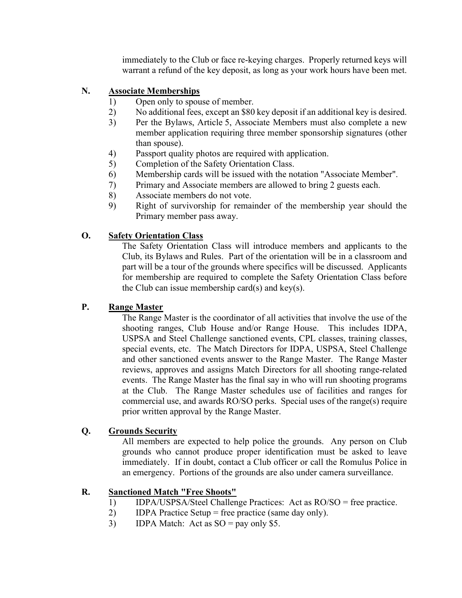immediately to the Club or face re-keying charges. Properly returned keys will warrant a refund of the key deposit, as long as your work hours have been met.

### N. Associate Memberships

- 1) Open only to spouse of member.
- 2) No additional fees, except an \$80 key deposit if an additional key is desired.
- 3) Per the Bylaws, Article 5, Associate Members must also complete a new member application requiring three member sponsorship signatures (other than spouse).
- 4) Passport quality photos are required with application.
- 5) Completion of the Safety Orientation Class.
- 6) Membership cards will be issued with the notation "Associate Member".
- 7) Primary and Associate members are allowed to bring 2 guests each.
- 8) Associate members do not vote.
- 9) Right of survivorship for remainder of the membership year should the Primary member pass away.

### O. Safety Orientation Class

The Safety Orientation Class will introduce members and applicants to the Club, its Bylaws and Rules. Part of the orientation will be in a classroom and part will be a tour of the grounds where specifics will be discussed. Applicants for membership are required to complete the Safety Orientation Class before the Club can issue membership card(s) and key(s).

#### P. Range Master

The Range Master is the coordinator of all activities that involve the use of the shooting ranges, Club House and/or Range House. This includes IDPA, USPSA and Steel Challenge sanctioned events, CPL classes, training classes, special events, etc. The Match Directors for IDPA, USPSA, Steel Challenge and other sanctioned events answer to the Range Master. The Range Master reviews, approves and assigns Match Directors for all shooting range-related events. The Range Master has the final say in who will run shooting programs at the Club. The Range Master schedules use of facilities and ranges for commercial use, and awards RO/SO perks. Special uses of the range(s) require prior written approval by the Range Master.

#### Q. Grounds Security

All members are expected to help police the grounds. Any person on Club grounds who cannot produce proper identification must be asked to leave immediately. If in doubt, contact a Club officer or call the Romulus Police in an emergency. Portions of the grounds are also under camera surveillance.

#### R. Sanctioned Match "Free Shoots"

- 1) IDPA/USPSA/Steel Challenge Practices: Act as RO/SO = free practice.
- 2) IDPA Practice Setup = free practice (same day only).
- 3) IDPA Match: Act as  $SO = pay$  only \$5.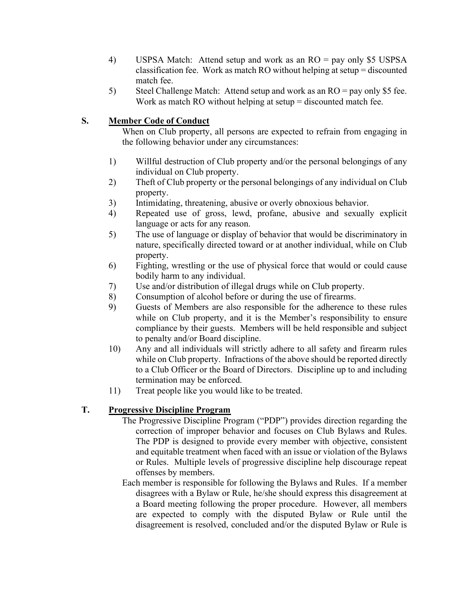- 4) USPSA Match: Attend setup and work as an RO = pay only \$5 USPSA classification fee. Work as match RO without helping at setup = discounted match fee.
- 5) Steel Challenge Match: Attend setup and work as an RO = pay only \$5 fee. Work as match RO without helping at setup = discounted match fee.

### S. Member Code of Conduct

When on Club property, all persons are expected to refrain from engaging in the following behavior under any circumstances:

- 1) Willful destruction of Club property and/or the personal belongings of any individual on Club property.
- 2) Theft of Club property or the personal belongings of any individual on Club property.
- 3) Intimidating, threatening, abusive or overly obnoxious behavior.
- 4) Repeated use of gross, lewd, profane, abusive and sexually explicit language or acts for any reason.
- 5) The use of language or display of behavior that would be discriminatory in nature, specifically directed toward or at another individual, while on Club property.
- 6) Fighting, wrestling or the use of physical force that would or could cause bodily harm to any individual.
- 7) Use and/or distribution of illegal drugs while on Club property.
- 8) Consumption of alcohol before or during the use of firearms.
- 9) Guests of Members are also responsible for the adherence to these rules while on Club property, and it is the Member's responsibility to ensure compliance by their guests. Members will be held responsible and subject to penalty and/or Board discipline.
- 10) Any and all individuals will strictly adhere to all safety and firearm rules while on Club property. Infractions of the above should be reported directly to a Club Officer or the Board of Directors. Discipline up to and including termination may be enforced.
- 11) Treat people like you would like to be treated.

## T. Progressive Discipline Program

- The Progressive Discipline Program ("PDP") provides direction regarding the correction of improper behavior and focuses on Club Bylaws and Rules. The PDP is designed to provide every member with objective, consistent and equitable treatment when faced with an issue or violation of the Bylaws or Rules. Multiple levels of progressive discipline help discourage repeat offenses by members.
- Each member is responsible for following the Bylaws and Rules. If a member disagrees with a Bylaw or Rule, he/she should express this disagreement at a Board meeting following the proper procedure. However, all members are expected to comply with the disputed Bylaw or Rule until the disagreement is resolved, concluded and/or the disputed Bylaw or Rule is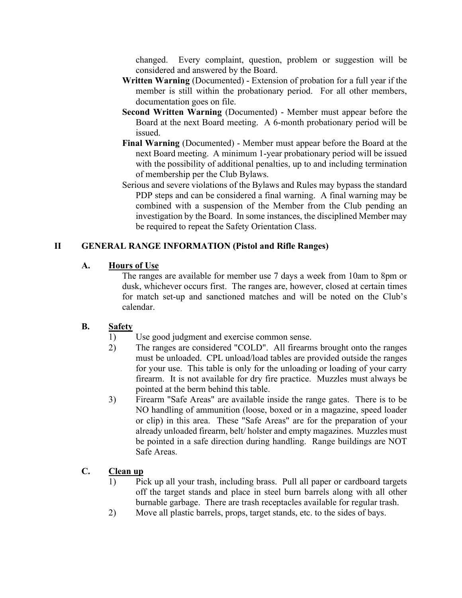changed. Every complaint, question, problem or suggestion will be considered and answered by the Board.

- Written Warning (Documented) Extension of probation for a full year if the member is still within the probationary period. For all other members, documentation goes on file.
- Second Written Warning (Documented) Member must appear before the Board at the next Board meeting. A 6-month probationary period will be issued.
- Final Warning (Documented) Member must appear before the Board at the next Board meeting. A minimum 1-year probationary period will be issued with the possibility of additional penalties, up to and including termination of membership per the Club Bylaws.
- Serious and severe violations of the Bylaws and Rules may bypass the standard PDP steps and can be considered a final warning. A final warning may be combined with a suspension of the Member from the Club pending an investigation by the Board. In some instances, the disciplined Member may be required to repeat the Safety Orientation Class.

### II GENERAL RANGE INFORMATION (Pistol and Rifle Ranges)

### A. Hours of Use

The ranges are available for member use 7 days a week from 10am to 8pm or dusk, whichever occurs first. The ranges are, however, closed at certain times for match set-up and sanctioned matches and will be noted on the Club's calendar.

#### B. Safety

- 1) Use good judgment and exercise common sense.
- 2) The ranges are considered "COLD". All firearms brought onto the ranges must be unloaded. CPL unload/load tables are provided outside the ranges for your use. This table is only for the unloading or loading of your carry firearm. It is not available for dry fire practice. Muzzles must always be pointed at the berm behind this table.
- 3) Firearm "Safe Areas" are available inside the range gates. There is to be NO handling of ammunition (loose, boxed or in a magazine, speed loader or clip) in this area. These "Safe Areas" are for the preparation of your already unloaded firearm, belt/ holster and empty magazines. Muzzles must be pointed in a safe direction during handling. Range buildings are NOT Safe Areas.

## C. Clean up

- 1) Pick up all your trash, including brass. Pull all paper or cardboard targets off the target stands and place in steel burn barrels along with all other burnable garbage. There are trash receptacles available for regular trash.
- 2) Move all plastic barrels, props, target stands, etc. to the sides of bays.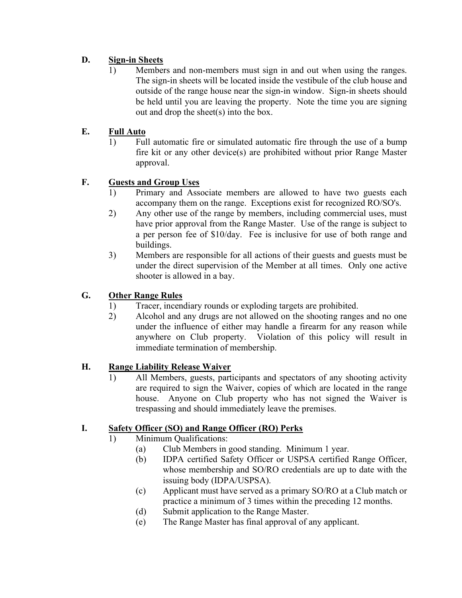# D. Sign-in Sheets

1) Members and non-members must sign in and out when using the ranges. The sign-in sheets will be located inside the vestibule of the club house and outside of the range house near the sign-in window. Sign-in sheets should be held until you are leaving the property. Note the time you are signing out and drop the sheet(s) into the box.

# E. Full Auto

1) Full automatic fire or simulated automatic fire through the use of a bump fire kit or any other device(s) are prohibited without prior Range Master approval.

# F. Guests and Group Uses

- 1) Primary and Associate members are allowed to have two guests each accompany them on the range. Exceptions exist for recognized RO/SO's.
- 2) Any other use of the range by members, including commercial uses, must have prior approval from the Range Master. Use of the range is subject to a per person fee of \$10/day. Fee is inclusive for use of both range and buildings.
- 3) Members are responsible for all actions of their guests and guests must be under the direct supervision of the Member at all times. Only one active shooter is allowed in a bay.

# G. Other Range Rules

- 1) Tracer, incendiary rounds or exploding targets are prohibited.
- 2) Alcohol and any drugs are not allowed on the shooting ranges and no one under the influence of either may handle a firearm for any reason while anywhere on Club property. Violation of this policy will result in immediate termination of membership.

## H. Range Liability Release Waiver

1) All Members, guests, participants and spectators of any shooting activity are required to sign the Waiver, copies of which are located in the range house. Anyone on Club property who has not signed the Waiver is trespassing and should immediately leave the premises.

## I. Safety Officer (SO) and Range Officer (RO) Perks

- 1) Minimum Qualifications:
	- (a) Club Members in good standing. Minimum 1 year.
	- (b) IDPA certified Safety Officer or USPSA certified Range Officer, whose membership and SO/RO credentials are up to date with the issuing body (IDPA/USPSA).
	- (c) Applicant must have served as a primary SO/RO at a Club match or practice a minimum of 3 times within the preceding 12 months.
	- (d) Submit application to the Range Master.
	- (e) The Range Master has final approval of any applicant.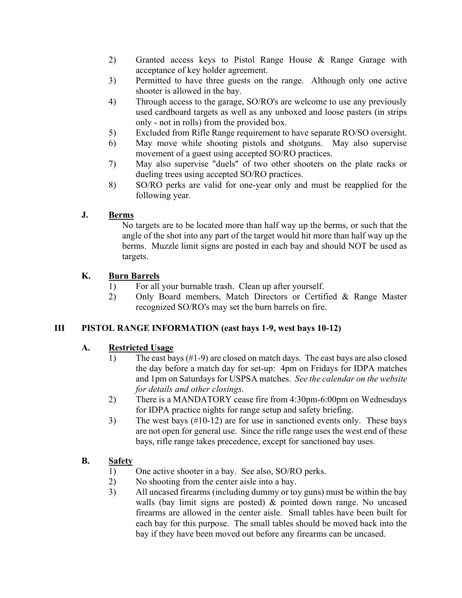- 2) Granted access keys to Pistol Range House & Range Garage with acceptance of key holder agreement.
- 3) Permitted to have three guests on the range. Although only one active shooter is allowed in the bay.
- 4) Through access to the garage, SO/RO's are welcome to use any previously used cardboard targets as well as any unboxed and loose pasters (in strips only - not in rolls) from the provided box.
- 5) Excluded from Rifle Range requirement to have separate RO/SO oversight.
- 6) May move while shooting pistols and shotguns. May also supervise movement of a guest using accepted SO/RO practices.
- 7) May also supervise "duels" of two other shooters on the plate racks or dueling trees using accepted SO/RO practices.
- 8) SO/RO perks are valid for one-year only and must be reapplied for the following year.

#### J. Berms

No targets are to be located more than half way up the berms, or such that the angle of the shot into any part of the target would hit more than half way up the berms. Muzzle limit signs are posted in each bay and should NOT be used as targets.

#### K. Burn Barrels

- 1) For all your burnable trash. Clean up after yourself.
- 2) Only Board members, Match Directors or Certified & Range Master recognized SO/RO's may set the burn barrels on fire.

#### III PISTOL RANGE INFORMATION (east bays 1-9, west bays 10-12)

#### A. Restricted Usage

- 1) The east bays (#1-9) are closed on match days. The east bays are also closed the day before a match day for set-up: 4pm on Fridays for IDPA matches and 1pm on Saturdays for USPSA matches. See the calendar on the website for details and other closings.
- 2) There is a MANDATORY cease fire from 4:30pm-6:00pm on Wednesdays for IDPA practice nights for range setup and safety briefing.
- 3) The west bays (#10-12) are for use in sanctioned events only. These bays are not open for general use. Since the rifle range uses the west end of these bays, rifle range takes precedence, except for sanctioned bay uses.

#### B. Safety

- 1) One active shooter in a bay. See also, SO/RO perks.
- 2) No shooting from the center aisle into a bay.
- 3) All uncased firearms (including dummy or toy guns) must be within the bay walls (bay limit signs are posted) & pointed down range. No uncased firearms are allowed in the center aisle. Small tables have been built for each bay for this purpose. The small tables should be moved back into the bay if they have been moved out before any firearms can be uncased.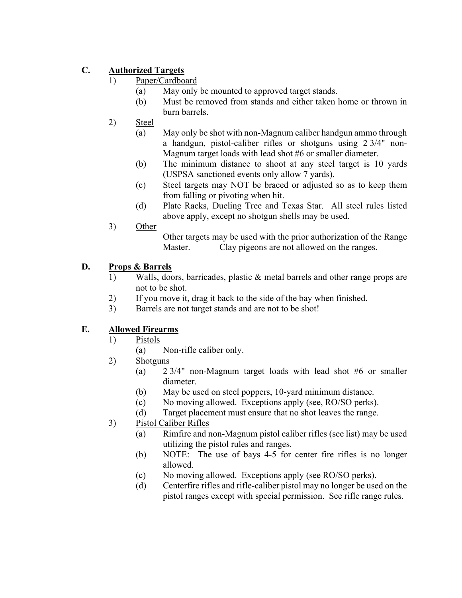# C. Authorized Targets

- 1) Paper/Cardboard
	- (a) May only be mounted to approved target stands.
	- (b) Must be removed from stands and either taken home or thrown in burn barrels.
- 2) Steel
	- (a) May only be shot with non-Magnum caliber handgun ammo through a handgun, pistol-caliber rifles or shotguns using 2 3/4" non-Magnum target loads with lead shot #6 or smaller diameter.
	- (b) The minimum distance to shoot at any steel target is 10 yards (USPSA sanctioned events only allow 7 yards).
	- (c) Steel targets may NOT be braced or adjusted so as to keep them from falling or pivoting when hit.
	- (d) Plate Racks, Dueling Tree and Texas Star. All steel rules listed above apply, except no shotgun shells may be used.
- 3) Other

Other targets may be used with the prior authorization of the Range Master. Clay pigeons are not allowed on the ranges.

## D. Props & Barrels

- 1) Walls, doors, barricades, plastic & metal barrels and other range props are not to be shot.
- 2) If you move it, drag it back to the side of the bay when finished.
- 3) Barrels are not target stands and are not to be shot!

## E. Allowed Firearms

- 1) Pistols
	- (a) Non-rifle caliber only.
- 2) Shotguns
	- (a) 2 3/4" non-Magnum target loads with lead shot #6 or smaller diameter.
	- (b) May be used on steel poppers, 10-yard minimum distance.
	- (c) No moving allowed. Exceptions apply (see, RO/SO perks).
	- (d) Target placement must ensure that no shot leaves the range.
- 3) Pistol Caliber Rifles
	- (a) Rimfire and non-Magnum pistol caliber rifles (see list) may be used utilizing the pistol rules and ranges.
	- (b) NOTE: The use of bays 4-5 for center fire rifles is no longer allowed.
	- (c) No moving allowed. Exceptions apply (see RO/SO perks).
	- (d) Centerfire rifles and rifle-caliber pistol may no longer be used on the pistol ranges except with special permission. See rifle range rules.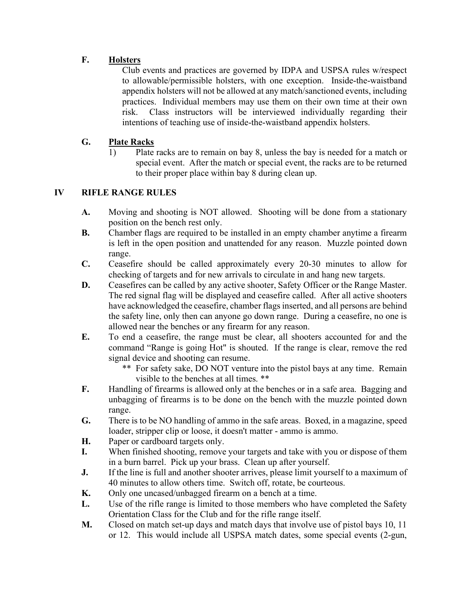# F. Holsters

Club events and practices are governed by IDPA and USPSA rules w/respect to allowable/permissible holsters, with one exception. Inside-the-waistband appendix holsters will not be allowed at any match/sanctioned events, including practices. Individual members may use them on their own time at their own risk. Class instructors will be interviewed individually regarding their intentions of teaching use of inside-the-waistband appendix holsters.

## G. Plate Racks

1) Plate racks are to remain on bay 8, unless the bay is needed for a match or special event. After the match or special event, the racks are to be returned to their proper place within bay 8 during clean up.

### IV RIFLE RANGE RULES

- A. Moving and shooting is NOT allowed. Shooting will be done from a stationary position on the bench rest only.
- B. Chamber flags are required to be installed in an empty chamber anytime a firearm is left in the open position and unattended for any reason. Muzzle pointed down range.
- C. Ceasefire should be called approximately every 20-30 minutes to allow for checking of targets and for new arrivals to circulate in and hang new targets.
- D. Ceasefires can be called by any active shooter, Safety Officer or the Range Master. The red signal flag will be displayed and ceasefire called. After all active shooters have acknowledged the ceasefire, chamber flags inserted, and all persons are behind the safety line, only then can anyone go down range. During a ceasefire, no one is allowed near the benches or any firearm for any reason.
- E. To end a ceasefire, the range must be clear, all shooters accounted for and the command "Range is going Hot" is shouted. If the range is clear, remove the red signal device and shooting can resume.
	- \*\* For safety sake, DO NOT venture into the pistol bays at any time. Remain visible to the benches at all times. \*\*
- F. Handling of firearms is allowed only at the benches or in a safe area. Bagging and unbagging of firearms is to be done on the bench with the muzzle pointed down range.
- G. There is to be NO handling of ammo in the safe areas. Boxed, in a magazine, speed loader, stripper clip or loose, it doesn't matter - ammo is ammo.
- H. Paper or cardboard targets only.
- I. When finished shooting, remove your targets and take with you or dispose of them in a burn barrel. Pick up your brass. Clean up after yourself.
- **J.** If the line is full and another shooter arrives, please limit yourself to a maximum of 40 minutes to allow others time. Switch off, rotate, be courteous.
- K. Only one uncased/unbagged firearm on a bench at a time.
- L. Use of the rifle range is limited to those members who have completed the Safety Orientation Class for the Club and for the rifle range itself.
- M. Closed on match set-up days and match days that involve use of pistol bays 10, 11 or 12. This would include all USPSA match dates, some special events (2-gun,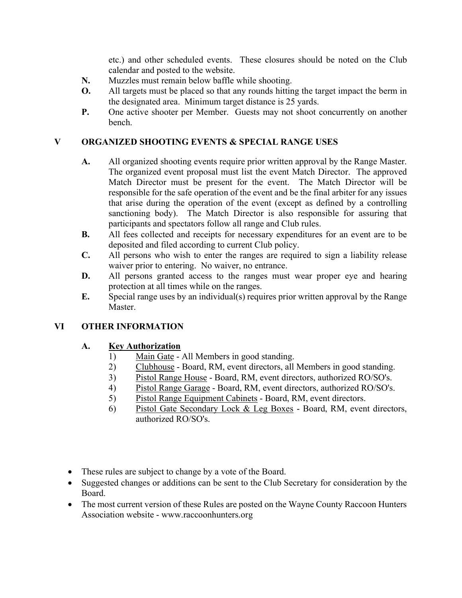etc.) and other scheduled events. These closures should be noted on the Club calendar and posted to the website.

- N. Muzzles must remain below baffle while shooting.
- O. All targets must be placed so that any rounds hitting the target impact the berm in the designated area. Minimum target distance is 25 yards.
- P. One active shooter per Member. Guests may not shoot concurrently on another bench.

### V ORGANIZED SHOOTING EVENTS & SPECIAL RANGE USES

- A. All organized shooting events require prior written approval by the Range Master. The organized event proposal must list the event Match Director. The approved Match Director must be present for the event. The Match Director will be responsible for the safe operation of the event and be the final arbiter for any issues that arise during the operation of the event (except as defined by a controlling sanctioning body). The Match Director is also responsible for assuring that participants and spectators follow all range and Club rules.
- B. All fees collected and receipts for necessary expenditures for an event are to be deposited and filed according to current Club policy.
- C. All persons who wish to enter the ranges are required to sign a liability release waiver prior to entering. No waiver, no entrance.
- D. All persons granted access to the ranges must wear proper eye and hearing protection at all times while on the ranges.
- E. Special range uses by an individual(s) requires prior written approval by the Range Master.

#### VI OTHER INFORMATION

#### A. Key Authorization

- 1) Main Gate All Members in good standing.
- 2) Clubhouse Board, RM, event directors, all Members in good standing.
- 3) Pistol Range House Board, RM, event directors, authorized RO/SO's.
- 4) Pistol Range Garage Board, RM, event directors, authorized RO/SO's.
- 5) Pistol Range Equipment Cabinets Board, RM, event directors.
- 6) Pistol Gate Secondary Lock & Leg Boxes Board, RM, event directors, authorized RO/SO's.
- These rules are subject to change by a vote of the Board.
- Suggested changes or additions can be sent to the Club Secretary for consideration by the Board.
- The most current version of these Rules are posted on the Wayne County Raccoon Hunters Association website - www.raccoonhunters.org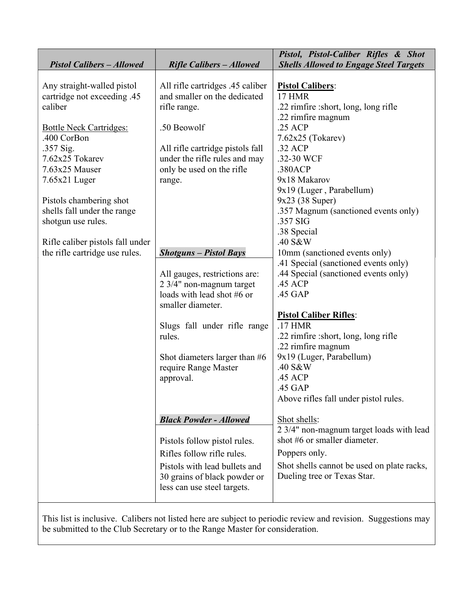| <b>Pistol Calibers - Allowed</b>                                                                                                                                                           | <b>Rifle Calibers - Allowed</b>                                                                                                                                                                                                | Pistol, Pistol-Caliber Rifles & Shot<br><b>Shells Allowed to Engage Steel Targets</b>                                                                                                                                                                                                                              |
|--------------------------------------------------------------------------------------------------------------------------------------------------------------------------------------------|--------------------------------------------------------------------------------------------------------------------------------------------------------------------------------------------------------------------------------|--------------------------------------------------------------------------------------------------------------------------------------------------------------------------------------------------------------------------------------------------------------------------------------------------------------------|
|                                                                                                                                                                                            |                                                                                                                                                                                                                                |                                                                                                                                                                                                                                                                                                                    |
| Any straight-walled pistol<br>cartridge not exceeding .45<br>caliber<br><b>Bottle Neck Cartridges:</b><br>.400 CorBon<br>.357 Sig.<br>7.62x25 Tokarev<br>7.63x25 Mauser<br>$7.65x21$ Luger | All rifle cartridges .45 caliber<br>and smaller on the dedicated<br>rifle range.<br>.50 Beowolf<br>All rifle cartridge pistols fall<br>under the rifle rules and may<br>only be used on the rifle                              | <b>Pistol Calibers:</b><br><b>17 HMR</b><br>.22 rimfire :short, long, long rifle<br>.22 rimfire magnum<br>$.25$ ACP<br>7.62x25 (Tokarev)<br>.32 ACP<br>.32-30 WCF<br>.380ACP<br>9x18 Makarov                                                                                                                       |
| Pistols chambering shot<br>shells fall under the range<br>shotgun use rules.<br>Rifle caliber pistols fall under                                                                           | range.                                                                                                                                                                                                                         | 9x19 (Luger, Parabellum)<br>$9x23$ (38 Super)<br>.357 Magnum (sanctioned events only)<br>.357 SIG<br>.38 Special<br>.40 S&W                                                                                                                                                                                        |
| the rifle cartridge use rules.                                                                                                                                                             | <b>Shotguns - Pistol Bays</b>                                                                                                                                                                                                  | 10mm (sanctioned events only)                                                                                                                                                                                                                                                                                      |
|                                                                                                                                                                                            | All gauges, restrictions are:<br>2 3/4" non-magnum target<br>loads with lead shot #6 or<br>smaller diameter.<br>Slugs fall under rifle range<br>rules.<br>Shot diameters larger than $#6$<br>require Range Master<br>approval. | .41 Special (sanctioned events only)<br>.44 Special (sanctioned events only)<br>.45 ACP<br>.45 GAP<br><b>Pistol Caliber Rifles:</b><br>.17 HMR<br>.22 rimfire :short, long, long rifle<br>.22 rimfire magnum<br>9x19 (Luger, Parabellum)<br>.40 S&W<br>.45 ACP<br>.45 GAP<br>Above rifles fall under pistol rules. |
|                                                                                                                                                                                            | <b>Black Powder - Allowed</b>                                                                                                                                                                                                  | Shot shells:<br>2 3/4" non-magnum target loads with lead                                                                                                                                                                                                                                                           |
|                                                                                                                                                                                            | Pistols follow pistol rules.                                                                                                                                                                                                   | shot #6 or smaller diameter.                                                                                                                                                                                                                                                                                       |
|                                                                                                                                                                                            | Rifles follow rifle rules.                                                                                                                                                                                                     | Poppers only.                                                                                                                                                                                                                                                                                                      |
|                                                                                                                                                                                            | Pistols with lead bullets and<br>30 grains of black powder or<br>less can use steel targets.                                                                                                                                   | Shot shells cannot be used on plate racks,<br>Dueling tree or Texas Star.                                                                                                                                                                                                                                          |

This list is inclusive. Calibers not listed here are subject to periodic review and revision. Suggestions may be submitted to the Club Secretary or to the Range Master for consideration.